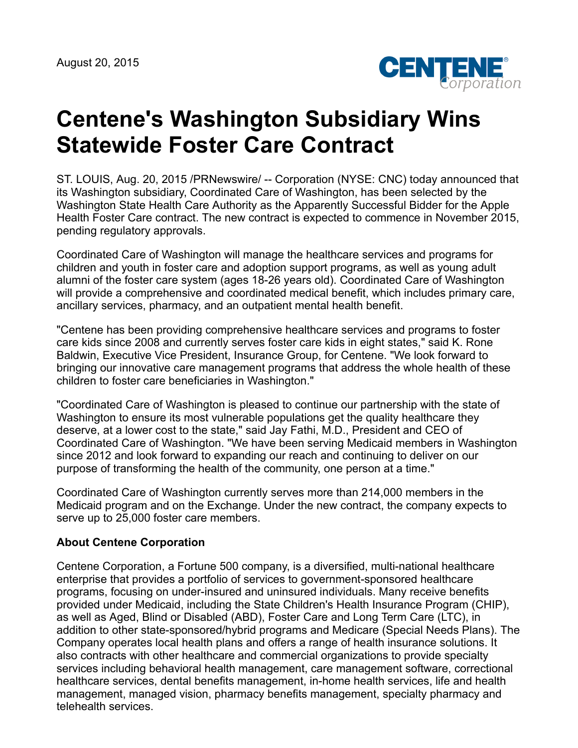August 20, 2015



## **Centene's Washington Subsidiary Wins Statewide Foster Care Contract**

ST. LOUIS, Aug. 20, 2015 /PRNewswire/ -- Corporation (NYSE: CNC) today announced that its Washington subsidiary, Coordinated Care of Washington, has been selected by the Washington State Health Care Authority as the Apparently Successful Bidder for the Apple Health Foster Care contract. The new contract is expected to commence in November 2015, pending regulatory approvals.

Coordinated Care of Washington will manage the healthcare services and programs for children and youth in foster care and adoption support programs, as well as young adult alumni of the foster care system (ages 18-26 years old). Coordinated Care of Washington will provide a comprehensive and coordinated medical benefit, which includes primary care, ancillary services, pharmacy, and an outpatient mental health benefit.

"Centene has been providing comprehensive healthcare services and programs to foster care kids since 2008 and currently serves foster care kids in eight states," said K. Rone Baldwin, Executive Vice President, Insurance Group, for Centene. "We look forward to bringing our innovative care management programs that address the whole health of these children to foster care beneficiaries in Washington."

"Coordinated Care of Washington is pleased to continue our partnership with the state of Washington to ensure its most vulnerable populations get the quality healthcare they deserve, at a lower cost to the state," said Jay Fathi, M.D., President and CEO of Coordinated Care of Washington. "We have been serving Medicaid members in Washington since 2012 and look forward to expanding our reach and continuing to deliver on our purpose of transforming the health of the community, one person at a time."

Coordinated Care of Washington currently serves more than 214,000 members in the Medicaid program and on the Exchange. Under the new contract, the company expects to serve up to 25,000 foster care members.

## **About Centene Corporation**

Centene Corporation, a Fortune 500 company, is a diversified, multi-national healthcare enterprise that provides a portfolio of services to government-sponsored healthcare programs, focusing on under-insured and uninsured individuals. Many receive benefits provided under Medicaid, including the State Children's Health Insurance Program (CHIP), as well as Aged, Blind or Disabled (ABD), Foster Care and Long Term Care (LTC), in addition to other state-sponsored/hybrid programs and Medicare (Special Needs Plans). The Company operates local health plans and offers a range of health insurance solutions. It also contracts with other healthcare and commercial organizations to provide specialty services including behavioral health management, care management software, correctional healthcare services, dental benefits management, in-home health services, life and health management, managed vision, pharmacy benefits management, specialty pharmacy and telehealth services.